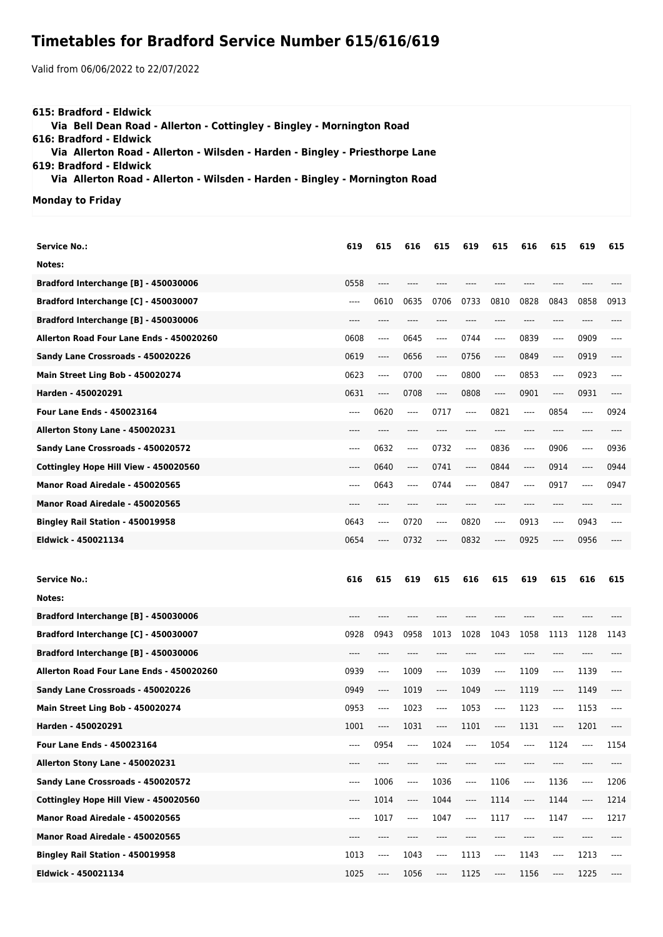## **Timetables for Bradford Service Number 615/616/619**

Valid from 06/06/2022 to 22/07/2022

| 615: Bradford - Eldwick                                                      |  |
|------------------------------------------------------------------------------|--|
| Via Bell Dean Road - Allerton - Cottingley - Bingley - Mornington Road       |  |
| 616: Bradford - Eldwick                                                      |  |
| Via Allerton Road - Allerton - Wilsden - Harden - Bingley - Priesthorpe Lane |  |
| 619: Bradford - Eldwick                                                      |  |
| Via Allerton Road - Allerton - Wilsden - Harden - Bingley - Mornington Road  |  |
| Monday to Friday                                                             |  |

| Service No.:                             | 619  | 615                           | 616                           | 615  | 619                           | 615                           | 616                           | 615                           | 619  | 615      |
|------------------------------------------|------|-------------------------------|-------------------------------|------|-------------------------------|-------------------------------|-------------------------------|-------------------------------|------|----------|
| Notes:                                   |      |                               |                               |      |                               |                               |                               |                               |      |          |
| Bradford Interchange [B] - 450030006     | 0558 | ----                          |                               |      |                               |                               |                               |                               |      |          |
| Bradford Interchange [C] - 450030007     | ---- | 0610                          | 0635                          | 0706 | 0733                          | 0810                          | 0828                          | 0843                          | 0858 | 0913     |
| Bradford Interchange [B] - 450030006     | ---- | ----                          |                               |      | $---$                         | $---$                         | ----                          | ----                          | ---- |          |
| Allerton Road Four Lane Ends - 450020260 | 0608 | $---$                         | 0645                          | ---- | 0744                          | ----                          | 0839                          | $\hspace{1.5cm} \textbf{---}$ | 0909 | ----     |
| Sandy Lane Crossroads - 450020226        | 0619 | ----                          | 0656                          | ---- | 0756                          | $---$                         | 0849                          | ----                          | 0919 |          |
| Main Street Ling Bob - 450020274         | 0623 | $---$                         | 0700                          | ---- | 0800                          | ----                          | 0853                          | $\hspace{1.5cm} \textbf{---}$ | 0923 | ----     |
| Harden - 450020291                       | 0631 | $\hspace{1.5cm} \textbf{---}$ | 0708                          | ---- | 0808                          | $\hspace{1.5cm} \textbf{---}$ | 0901                          | $\hspace{1.5cm} \textbf{---}$ | 0931 | ----     |
| Four Lane Ends - 450023164               | ---- | 0620                          | $-----$                       | 0717 | $\hspace{1.5cm} \textbf{---}$ | 0821                          | $-----$                       | 0854                          | ---- | 0924     |
| Allerton Stony Lane - 450020231          | ---- | ----                          |                               |      |                               | ----                          | ----                          | ----                          |      |          |
| Sandy Lane Crossroads - 450020572        | ---- | 0632                          | $\hspace{1.5cm} \textbf{---}$ | 0732 | $\hspace{1.5cm} \textbf{---}$ | 0836                          | ----                          | 0906                          | ---- | 0936     |
| Cottingley Hope Hill View - 450020560    | ---- | 0640                          | $-----$                       | 0741 | $\hspace{1.5cm} \textbf{---}$ | 0844                          | $\hspace{1.5cm} \textbf{---}$ | 0914                          | ---- | 0944     |
| Manor Road Airedale - 450020565          | ---- | 0643                          | $-----$                       | 0744 | $---$                         | 0847                          | ----                          | 0917                          | ---- | 0947     |
| Manor Road Airedale - 450020565          | ---- | ----                          |                               | ---- |                               | ----                          | ----                          | ----                          |      |          |
| Bingley Rail Station - 450019958         | 0643 | $---$                         | 0720                          | ---- | 0820                          | ----                          | 0913                          | $\hspace{1.5cm} \textbf{---}$ | 0943 | ----     |
| Eldwick - 450021134                      | 0654 | ----                          | 0732                          | ---- | 0832                          | $---$                         | 0925                          | ----                          | 0956 |          |
|                                          |      |                               |                               |      |                               |                               |                               |                               |      |          |
|                                          |      |                               |                               |      |                               |                               |                               |                               |      |          |
| <b>Service No.:</b>                      | 616  | 615                           | 619                           | 615  | 616                           | 615                           | 619                           | 615                           | 616  | 615      |
| Notes:                                   |      |                               |                               |      |                               |                               |                               |                               |      |          |
| Bradford Interchange [B] - 450030006     | ---- |                               |                               |      |                               |                               |                               |                               |      |          |
| Bradford Interchange [C] - 450030007     | 0928 | 0943                          | 0958                          | 1013 | 1028                          | 1043                          | 1058                          | 1113                          | 1128 | 1143     |
| Bradford Interchange [B] - 450030006     | ---- | ----                          | $---$                         | ---- | $---$                         | $---$                         | $---$                         | ----                          | ---- | ----     |
| Allerton Road Four Lane Ends - 450020260 | 0939 | $-----$                       | 1009                          | ---- | 1039                          | ----                          | 1109                          | $-----$                       | 1139 | ----     |
| Sandy Lane Crossroads - 450020226        | 0949 | $-----$                       | 1019                          | ---- | 1049                          | $\cdots$                      | 1119                          | $-----$                       | 1149 | ----     |
| Main Street Ling Bob - 450020274         | 0953 | $---$                         | 1023                          | ---- | 1053                          | $---$                         | 1123                          | $\cdots$                      | 1153 | ----     |
| Harden - 450020291                       | 1001 | ----                          | 1031                          | ---- | 1101                          | ----                          | 1131                          | ----                          | 1201 |          |
| Four Lane Ends - 450023164               | ---- | 0954                          |                               | 1024 | ----                          | 1054                          | ----                          | 1124                          |      | 1154     |
| Allerton Stony Lane - 450020231          | ---- | $-----$                       | ----                          | ---- | ----                          | ----                          | ----                          | ----                          | ---- | ----     |
| Sandy Lane Crossroads - 450020572        | ---- | 1006                          | ----                          | 1036 | ----                          | 1106                          | $\overline{\phantom{a}}$      | 1136                          | ---- | 1206     |
| Cottingley Hope Hill View - 450020560    | ---- | 1014                          | ----                          | 1044 | ----                          | 1114                          | $---$                         | 1144                          | ---- | 1214     |
| Manor Road Airedale - 450020565          | ---- | 1017                          | ----                          | 1047 | ----                          | 1117                          | $---$                         | 1147                          | ---- | 1217     |
| Manor Road Airedale - 450020565          | ---- | ----                          | $-----$                       | ---- | ----                          | ----                          | ----                          | ----                          | ---- | ----     |
| Bingley Rail Station - 450019958         | 1013 | ----                          | 1043                          | ---- | 1113                          | ----                          | 1143                          | ----                          | 1213 | $\cdots$ |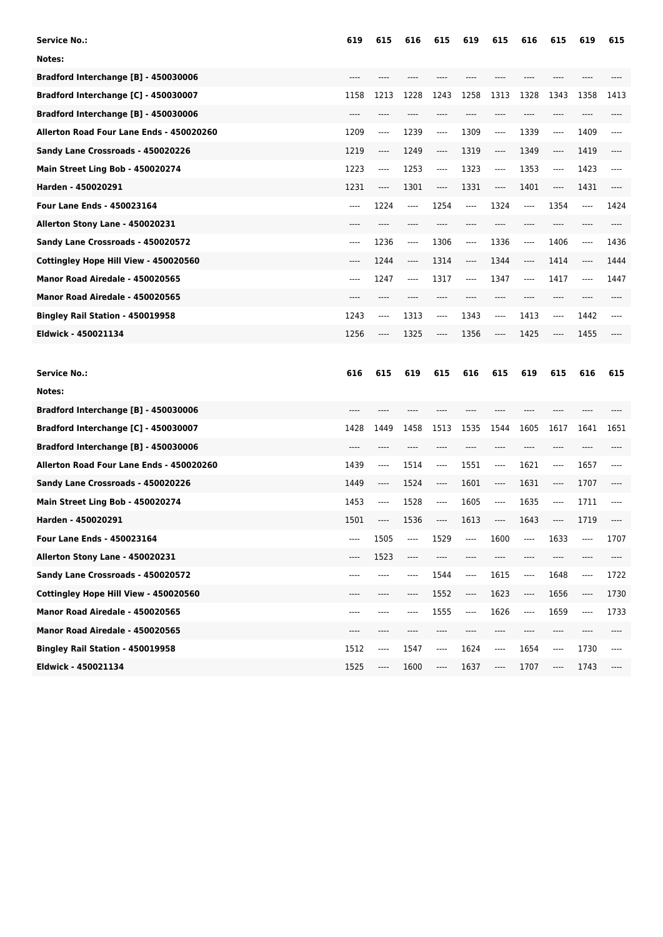| <b>Service No.:</b>                      | 619     | 615      | 616  | 615     | 619  | 615     | 616  | 615                           | 619  | 615   |
|------------------------------------------|---------|----------|------|---------|------|---------|------|-------------------------------|------|-------|
| Notes:                                   |         |          |      |         |      |         |      |                               |      |       |
| Bradford Interchange [B] - 450030006     | ----    |          |      |         |      |         |      |                               |      |       |
| Bradford Interchange [C] - 450030007     | 1158    | 1213     | 1228 | 1243    | 1258 | 1313    | 1328 | 1343                          | 1358 | 1413  |
| Bradford Interchange [B] - 450030006     |         |          |      |         |      | ----    |      |                               |      |       |
| Allerton Road Four Lane Ends - 450020260 | 1209    | ----     | 1239 | ----    | 1309 | ----    | 1339 | ----                          | 1409 | ----  |
| Sandy Lane Crossroads - 450020226        | 1219    | ----     | 1249 | ----    | 1319 | ----    | 1349 | ----                          | 1419 |       |
| Main Street Ling Bob - 450020274         | 1223    | $\cdots$ | 1253 | $---$   | 1323 | ----    | 1353 | $\qquad \qquad - - -$         | 1423 | ----  |
| Harden - 450020291                       | 1231    | ----     | 1301 | ----    | 1331 | ----    | 1401 | ----                          | 1431 |       |
| <b>Four Lane Ends - 450023164</b>        | ----    | 1224     | ---- | 1254    | ---- | 1324    | ---- | 1354                          | ---- | 1424  |
| Allerton Stony Lane - 450020231          | ----    |          | ---- |         |      |         | ---- |                               | ---- |       |
| Sandy Lane Crossroads - 450020572        | $-----$ | 1236     | ---- | 1306    | ---- | 1336    | ---- | 1406                          | ---- | 1436  |
| Cottingley Hope Hill View - 450020560    | $---$   | 1244     | ---- | 1314    | ---- | 1344    | ---- | 1414                          | ---- | 1444  |
| Manor Road Airedale - 450020565          | $-----$ | 1247     | ---- | 1317    | ---- | 1347    | ---- | 1417                          | ---- | 1447  |
| Manor Road Airedale - 450020565          |         |          |      |         |      | ----    | ---- | $---$                         |      |       |
| Bingley Rail Station - 450019958         | 1243    | ----     | 1313 | $-----$ | 1343 | $-----$ | 1413 | ----                          | 1442 | $---$ |
| Eldwick - 450021134                      | 1256    | ----     | 1325 | ----    | 1356 | ----    | 1425 | $---$                         | 1455 |       |
|                                          |         |          |      |         |      |         |      |                               |      |       |
|                                          |         |          |      |         |      |         |      |                               |      |       |
| <b>Service No.:</b>                      | 616     | 615      | 619  | 615     | 616  | 615     | 619  | 615                           | 616  | 615   |
| Notes:                                   |         |          |      |         |      |         |      |                               |      |       |
| Bradford Interchange [B] - 450030006     | ----    |          |      |         |      |         |      |                               |      |       |
| Bradford Interchange [C] - 450030007     | 1428    | 1449     | 1458 | 1513    | 1535 | 1544    | 1605 | 1617                          | 1641 | 1651  |
| Bradford Interchange [B] - 450030006     | ----    | ----     | ---- |         |      | ----    | ---- | ----                          | ---- |       |
| Allerton Road Four Lane Ends - 450020260 | 1439    | ----     | 1514 | ----    | 1551 | ----    | 1621 | ----                          | 1657 |       |
| Sandy Lane Crossroads - 450020226        | 1449    | ----     | 1524 | ----    | 1601 | ----    | 1631 | ----                          | 1707 |       |
| Main Street Ling Bob - 450020274         | 1453    | ----     | 1528 | ----    | 1605 | ----    | 1635 | $\hspace{1.5cm} \textbf{---}$ | 1711 | ----  |
| Harden - 450020291                       | 1501    | ----     | 1536 | ----    | 1613 | ----    | 1643 | ----                          | 1719 |       |
| Four Lane Ends - 450023164               |         | 1505     |      | 1529    |      | 1600    | ---- | 1633                          |      | 1707  |
| Allerton Stony Lane - 450020231          | ----    | 1523     | ---- | ----    |      | ----    | ---- | ----                          |      | ----  |
| Sandy Lane Crossroads - 450020572        | ----    | ----     | ---- | 1544    | ---- | 1615    | ---- | 1648                          | ---- | 1722  |
| Cottingley Hope Hill View - 450020560    | ----    | ----     | ---- | 1552    | ---- | 1623    | ---- | 1656                          | ---- | 1730  |
| Manor Road Airedale - 450020565          | ----    | ----     | ---- | 1555    | ---- | 1626    | ---- | 1659                          | ---- | 1733  |
| Manor Road Airedale - 450020565          | ----    | ----     |      | ----    |      | ----    | ---- | ----                          | ---- |       |
| Bingley Rail Station - 450019958         | 1512    | ----     | 1547 | ----    | 1624 | ----    | 1654 | ----                          | 1730 | ----  |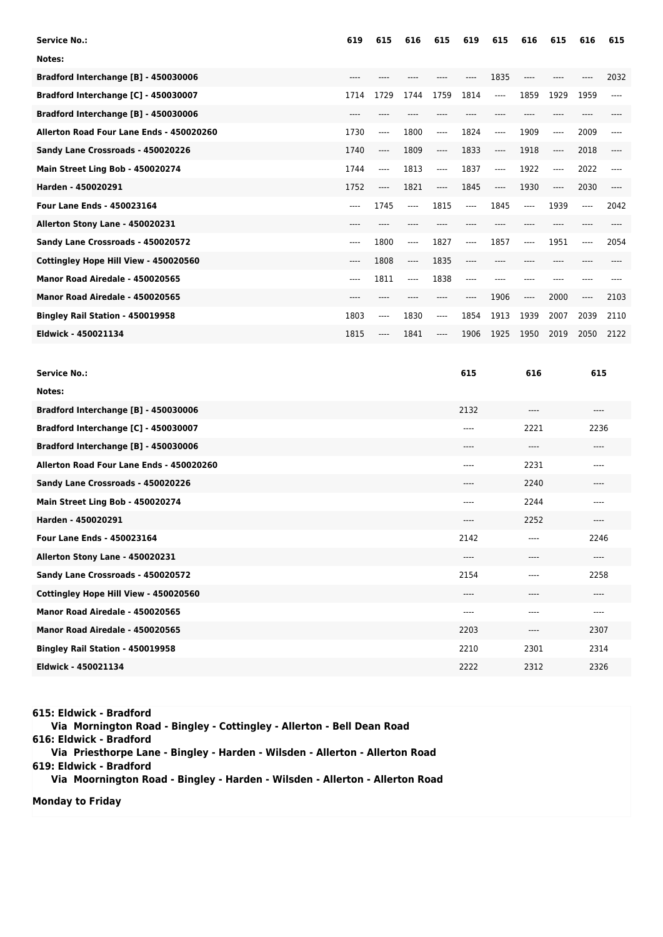| <b>Service No.:</b>                      | 619   | 615   | 616     | 615   | 619   | 615                      | 616   | 615   | 616   | 615  |
|------------------------------------------|-------|-------|---------|-------|-------|--------------------------|-------|-------|-------|------|
| Notes:                                   |       |       |         |       |       |                          |       |       |       |      |
| Bradford Interchange [B] - 450030006     | $---$ |       |         |       | ----  | 1835                     | $---$ |       | ----  | 2032 |
| Bradford Interchange [C] - 450030007     | 1714  | 1729  | 1744    | 1759  | 1814  | $---$                    | 1859  | 1929  | 1959  | ---- |
| Bradford Interchange [B] - 450030006     | $---$ |       |         |       |       |                          |       |       |       |      |
| Allerton Road Four Lane Ends - 450020260 | 1730  | ----  | 1800    | $---$ | 1824  | $\overline{\phantom{a}}$ | 1909  | $---$ | 2009  | ---- |
| Sandy Lane Crossroads - 450020226        | 1740  | $---$ | 1809    | $---$ | 1833  | $---$                    | 1918  | ----  | 2018  | ---- |
| Main Street Ling Bob - 450020274         | 1744  | ----  | 1813    | $---$ | 1837  | $---$                    | 1922  | ----  | 2022  | ---- |
| Harden - 450020291                       | 1752  | $---$ | 1821    | $---$ | 1845  | $---$                    | 1930  | ----  | 2030  |      |
| <b>Four Lane Ends - 450023164</b>        | ----  | 1745  | $---$   | 1815  | $---$ | 1845                     | $---$ | 1939  | $---$ | 2042 |
| Allerton Stony Lane - 450020231          | $---$ |       |         |       |       |                          |       |       |       |      |
| Sandy Lane Crossroads - 450020572        | $---$ | 1800  | $---$   | 1827  | $---$ | 1857                     | $---$ | 1951  | $---$ | 2054 |
| Cottingley Hope Hill View - 450020560    | $---$ | 1808  | $-----$ | 1835  | $---$ | $---$                    | ----  |       |       |      |
| Manor Road Airedale - 450020565          | $---$ | 1811  | $---$   | 1838  | $---$ |                          |       |       |       |      |
| Manor Road Airedale - 450020565          | $---$ |       |         |       |       | 1906                     | $---$ | 2000  | $---$ | 2103 |
| Bingley Rail Station - 450019958         | 1803  | $---$ | 1830    | $---$ | 1854  | 1913                     | 1939  | 2007  | 2039  | 2110 |
| Eldwick - 450021134                      | 1815  | ----  | 1841    | $---$ | 1906  | 1925                     | 1950  | 2019  | 2050  | 2122 |

| <b>Service No.:</b>                      | 615   | 616   | 615     |
|------------------------------------------|-------|-------|---------|
| Notes:                                   |       |       |         |
| Bradford Interchange [B] - 450030006     | 2132  | $---$ | $-- -$  |
| Bradford Interchange [C] - 450030007     | ----  | 2221  | 2236    |
| Bradford Interchange [B] - 450030006     | $---$ | $---$ | $--- -$ |
| Allerton Road Four Lane Ends - 450020260 | $---$ | 2231  | ----    |
| Sandy Lane Crossroads - 450020226        | $---$ | 2240  | $---$   |
| Main Street Ling Bob - 450020274         | $---$ | 2244  | $---$   |
| Harden - 450020291                       | ----  | 2252  | ----    |
| <b>Four Lane Ends - 450023164</b>        | 2142  | ----  | 2246    |
| Allerton Stony Lane - 450020231          | $---$ | ----  | $---$   |
| Sandy Lane Crossroads - 450020572        | 2154  | ----  | 2258    |
| Cottingley Hope Hill View - 450020560    | ----  | ----  | ----    |
| Manor Road Airedale - 450020565          | $---$ | ----  | ----    |
| Manor Road Airedale - 450020565          | 2203  | ----  | 2307    |
| Bingley Rail Station - 450019958         | 2210  | 2301  | 2314    |
| Eldwick - 450021134                      | 2222  | 2312  | 2326    |

**615: Eldwick - Bradford**

 **Via Mornington Road - Bingley - Cottingley - Allerton - Bell Dean Road 616: Eldwick - Bradford Via Priesthorpe Lane - Bingley - Harden - Wilsden - Allerton - Allerton Road 619: Eldwick - Bradford**

 **Via Moornington Road - Bingley - Harden - Wilsden - Allerton - Allerton Road**

**Monday to Friday**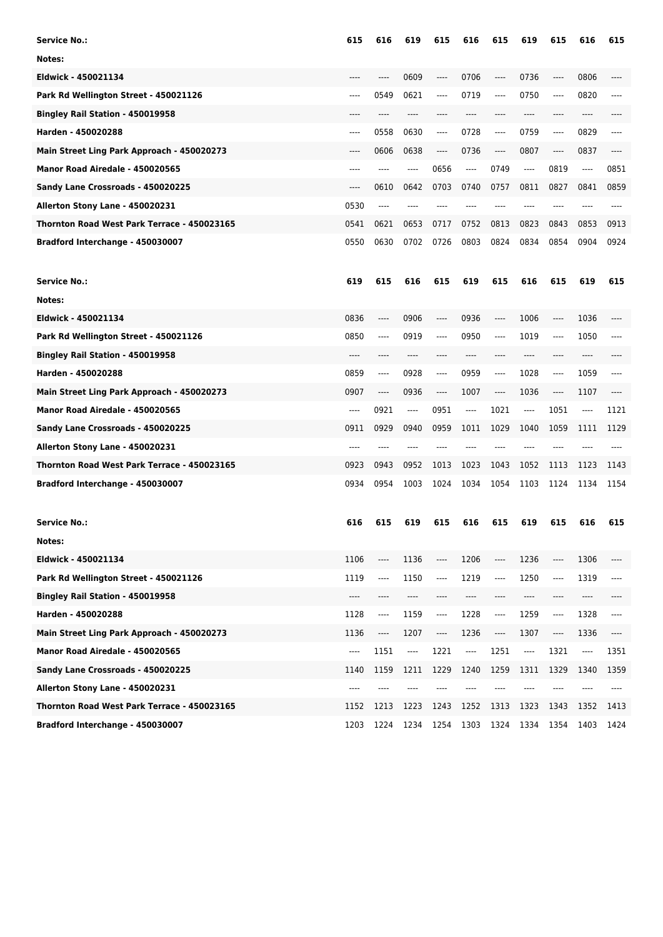| <b>Service No.:</b>                         | 615  | 616                                      | 619      | 615  | 616                      | 615                           | 619  | 615  | 616      | 615  |
|---------------------------------------------|------|------------------------------------------|----------|------|--------------------------|-------------------------------|------|------|----------|------|
| Notes:                                      |      |                                          |          |      |                          |                               |      |      |          |      |
| Eldwick - 450021134                         |      | ----                                     | 0609     | ---- | 0706                     | ----                          | 0736 | ---- | 0806     |      |
| Park Rd Wellington Street - 450021126       | ---- | 0549                                     | 0621     | ---- | 0719                     | $\cdots$                      | 0750 | ---- | 0820     | ---- |
| Bingley Rail Station - 450019958            | ---- | $---$                                    | ----     | ---- | $---$                    | ----                          | ---- | ---- | ----     |      |
| Harden - 450020288                          | ---- | 0558                                     | 0630     | ---- | 0728                     | $\hspace{1.5cm} \textbf{---}$ | 0759 | ---- | 0829     | ---- |
| Main Street Ling Park Approach - 450020273  | ---- | 0606                                     | 0638     | ---- | 0736                     | $\cdots$                      | 0807 | ---- | 0837     |      |
| Manor Road Airedale - 450020565             | ---- | ----                                     | $---$    | 0656 | $-----$                  | 0749                          | ---- | 0819 | $\cdots$ | 0851 |
| Sandy Lane Crossroads - 450020225           | ---- | 0610                                     | 0642     | 0703 | 0740                     | 0757                          | 0811 | 0827 | 0841     | 0859 |
| Allerton Stony Lane - 450020231             | 0530 | $---$                                    |          |      |                          |                               | ---- |      |          |      |
| Thornton Road West Park Terrace - 450023165 | 0541 | 0621                                     | 0653     | 0717 | 0752                     | 0813                          | 0823 | 0843 | 0853     | 0913 |
| Bradford Interchange - 450030007            | 0550 | 0630                                     | 0702     | 0726 | 0803                     | 0824                          | 0834 | 0854 | 0904     | 0924 |
| <b>Service No.:</b>                         | 619  | 615                                      | 616      | 615  | 619                      | 615                           | 616  | 615  | 619      | 615  |
| Notes:                                      |      |                                          |          |      |                          |                               |      |      |          |      |
| Eldwick - 450021134                         | 0836 | ----                                     | 0906     | ---- | 0936                     | ----                          | 1006 | ---- | 1036     | ---- |
| Park Rd Wellington Street - 450021126       | 0850 | ----                                     | 0919     | ---- | 0950                     | ----                          | 1019 | ---- | 1050     | ---- |
| Bingley Rail Station - 450019958            | ---- | ----                                     | ----     | ---- | $---$                    | $---$                         | ---- | ---- | ----     | ---- |
| Harden - 450020288                          | 0859 | ----                                     | 0928     | ---- | 0959                     | ----                          | 1028 | ---- | 1059     | ---- |
| Main Street Ling Park Approach - 450020273  | 0907 | ----                                     | 0936     | ---- | 1007                     | ----                          | 1036 | ---- | 1107     | ---- |
| Manor Road Airedale - 450020565             | ---- | 0921                                     | $\cdots$ | 0951 | $---$                    | 1021                          | ---- | 1051 | $\cdots$ | 1121 |
| Sandy Lane Crossroads - 450020225           | 0911 | 0929                                     | 0940     | 0959 | 1011                     | 1029                          | 1040 | 1059 | 1111     | 1129 |
| Allerton Stony Lane - 450020231             | ---- | ----                                     |          |      |                          |                               |      |      |          |      |
| Thornton Road West Park Terrace - 450023165 | 0923 | 0943                                     | 0952     | 1013 | 1023                     | 1043                          | 1052 | 1113 | 1123     | 1143 |
| Bradford Interchange - 450030007            | 0934 | 0954                                     | 1003     | 1024 | 1034                     | 1054                          | 1103 | 1124 | 1134     | 1154 |
| <b>Service No.:</b>                         | 616  | 615                                      | 619      | 615  | 616                      | 615                           | 619  | 615  | 616      | 615  |
| Notes:                                      |      |                                          |          |      |                          |                               |      |      |          |      |
| Eldwick - 450021134                         | 1106 | ----                                     | 1136     | ---- | 1206                     | ----                          | 1236 | ---- | 1306     |      |
| Park Rd Wellington Street - 450021126       | 1119 | $\hspace{0.05cm} \ldots \hspace{0.05cm}$ | 1150     | ---- | 1219                     | ----                          | 1250 | ---- | 1319     | ---- |
| Bingley Rail Station - 450019958            | ---- | ----                                     | ----     | ---- | ----                     | $---$                         | ---- | ---- | ----     |      |
| Harden - 450020288                          | 1128 | ----                                     | 1159     | ---- | 1228                     | $\hspace{1.5cm} \textbf{---}$ | 1259 | ---- | 1328     | ---- |
| Main Street Ling Park Approach - 450020273  | 1136 | ----                                     | 1207     | ---- | 1236                     | ----                          | 1307 | ---- | 1336     | ---- |
| Manor Road Airedale - 450020565             | ---- | 1151                                     | ----     | 1221 | $\overline{\phantom{a}}$ | 1251                          | ---- | 1321 | ----     | 1351 |
| Sandy Lane Crossroads - 450020225           | 1140 | 1159                                     | 1211     | 1229 | 1240                     | 1259                          | 1311 | 1329 | 1340     | 1359 |
| Allerton Stony Lane - 450020231             |      |                                          |          |      |                          |                               |      |      |          |      |
| Thornton Road West Park Terrace - 450023165 | 1152 | 1213                                     | 1223     | 1243 | 1252                     | 1313                          | 1323 | 1343 | 1352     | 1413 |
| Bradford Interchange - 450030007            | 1203 | 1224                                     | 1234     | 1254 | 1303                     | 1324                          | 1334 | 1354 | 1403     | 1424 |